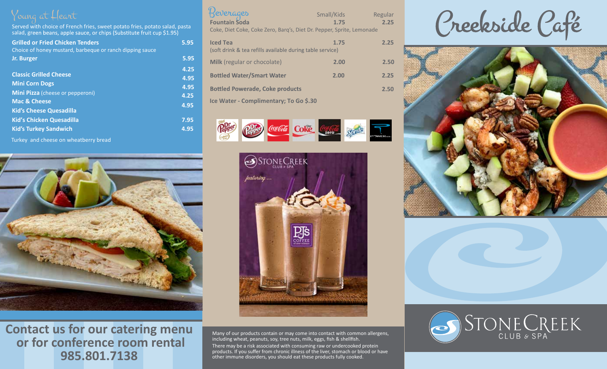Served with choice of French fries, sweet potato fries, potato salad, pasta salad, green beans, apple sauce, or chips (Substitute fruit cup \$1.95)

| <b>Grilled or Fried Chicken Tenders</b><br>Choice of honey mustard, barbeque or ranch dipping sauce | 5.95 |
|-----------------------------------------------------------------------------------------------------|------|
| Jr. Burger                                                                                          | 5.95 |
|                                                                                                     | 4.25 |
| <b>Classic Grilled Cheese</b>                                                                       | 4.95 |
| <b>Mini Corn Dogs</b>                                                                               | 4.95 |
| <b>Mini Pizza</b> (cheese or pepperoni)                                                             | 4.25 |
| <b>Mac &amp; Cheese</b>                                                                             |      |
| <b>Kid's Cheese Quesadilla</b>                                                                      | 4.95 |
| <b>Kid's Chicken Quesadilla</b>                                                                     | 7.95 |
| <b>Kid's Turkey Sandwich</b>                                                                        | 4.95 |
|                                                                                                     |      |

Turkey and cheese on wheatberry bread



| Beverages<br>Fountain Soda                                                   | Small/Kids | Regular |
|------------------------------------------------------------------------------|------------|---------|
|                                                                              | 1.75       | 2.25    |
| Coke, Diet Coke, Coke Zero, Barq's, Diet Dr. Pepper, Sprite, Lemonade        |            |         |
| <b>Iced Tea</b><br>(soft drink & tea refills available during table service) | 1.75       | 2.25    |
| Milk (regular or chocolate)                                                  | 2.00       | 2.50    |
| <b>Bottled Water/Smart Water</b>                                             | 2.00       | 2.25    |
| <b>Bottled Powerade, Coke products</b>                                       |            | 2.50    |

**Ice Water - Complimentary; To Go \$.30**





Many of our products contain or may come into contact with common allergens, including wheat, peanuts, soy, tree nuts, milk, eggs, fish & shellfish.

There may be a risk associated with consuming raw or undercooked protein products. If you suffer from chronic illness of the liver, stomach or blood or have other immune disorders, you should eat these products fully cooked.

Creekside Café





**Contact us for our catering menu or for conference room rental 985.801.7138**